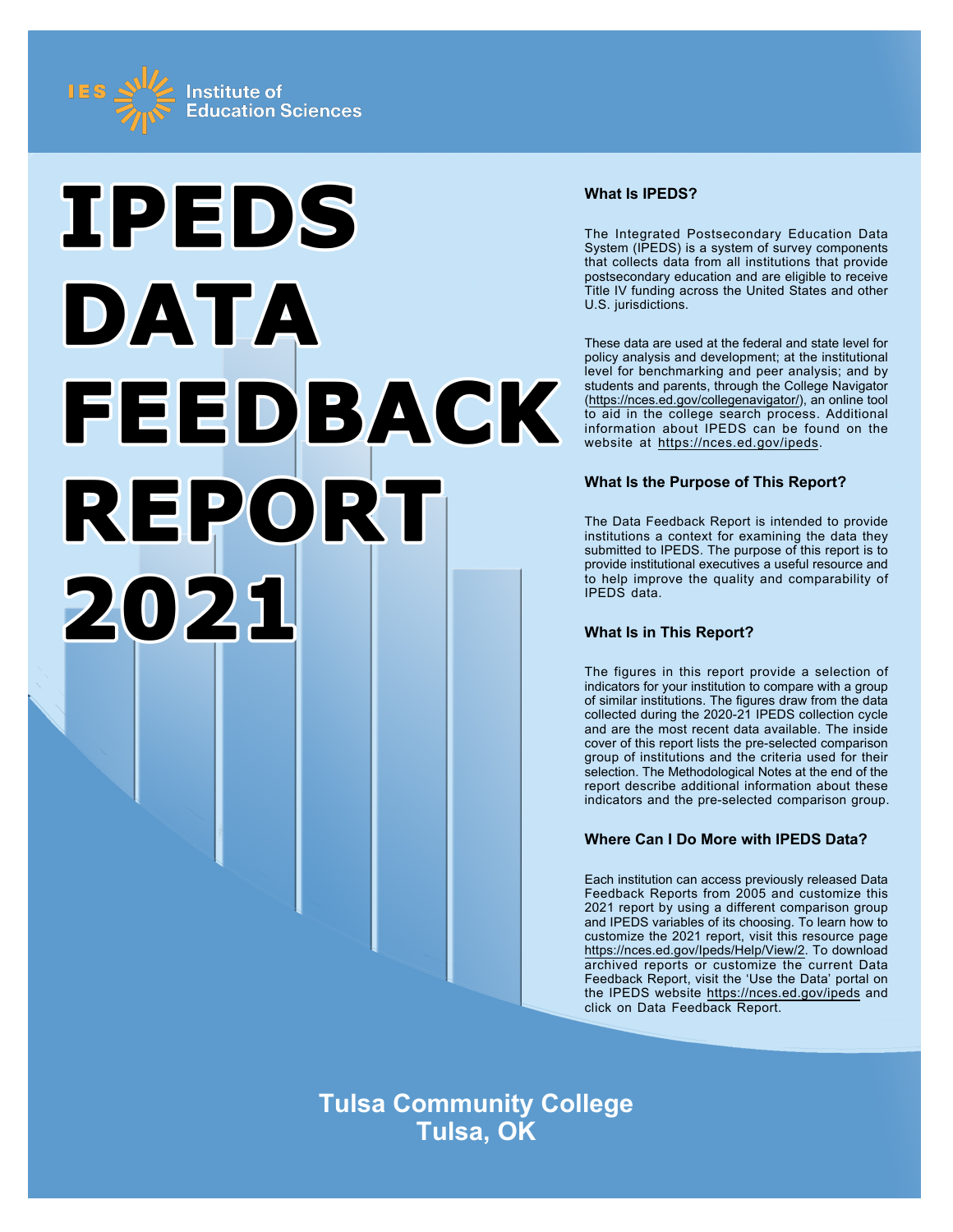



## **What Is IPEDS?**

The Integrated Postsecondary Education Data System (IPEDS) is a system of survey components that collects data from all institutions that provide postsecondary education and are eligible to receive Title IV funding across the United States and other U.S. jurisdictions.

These data are used at the federal and state level for policy analysis and development; at the institutional level for benchmarking and peer analysis; and by students and parents, through the College Navigator (https://nces.ed.gov/collegenavigator/), an online tool to aid in the college search process. Additional information about IPEDS can be found on the website at https://nces.ed.gov/ipeds.

## **What Is the Purpose of This Report?**

The Data Feedback Report is intended to provide institutions a context for examining the data they submitted to IPEDS. The purpose of this report is to provide institutional executives a useful resource and to help improve the quality and comparability of IPEDS data.

# **What Is in This Report?**

The figures in this report provide a selection of indicators for your institution to compare with a group of similar institutions. The figures draw from the data collected during the 2020-21 IPEDS collection cycle and are the most recent data available. The inside cover of this report lists the pre-selected comparison group of institutions and the criteria used for their selection. The Methodological Notes at the end of the report describe additional information about these indicators and the pre-selected comparison group.

# **Where Can I Do More with IPEDS Data?**

Each institution can access previously released Data Feedback Reports from 2005 and customize this 2021 report by using a different comparison group and IPEDS variables of its choosing. To learn how to customize the 2021 report, visit this resource page https://nces.ed.gov/Ipeds/Help/View/2. To download archived reports or customize the current Data Feedback Report, visit the 'Use the Data' portal on the IPEDS website https://nces.ed.gov/ipeds and click on Data Feedback Report.

**Tulsa Community College Tulsa, OK**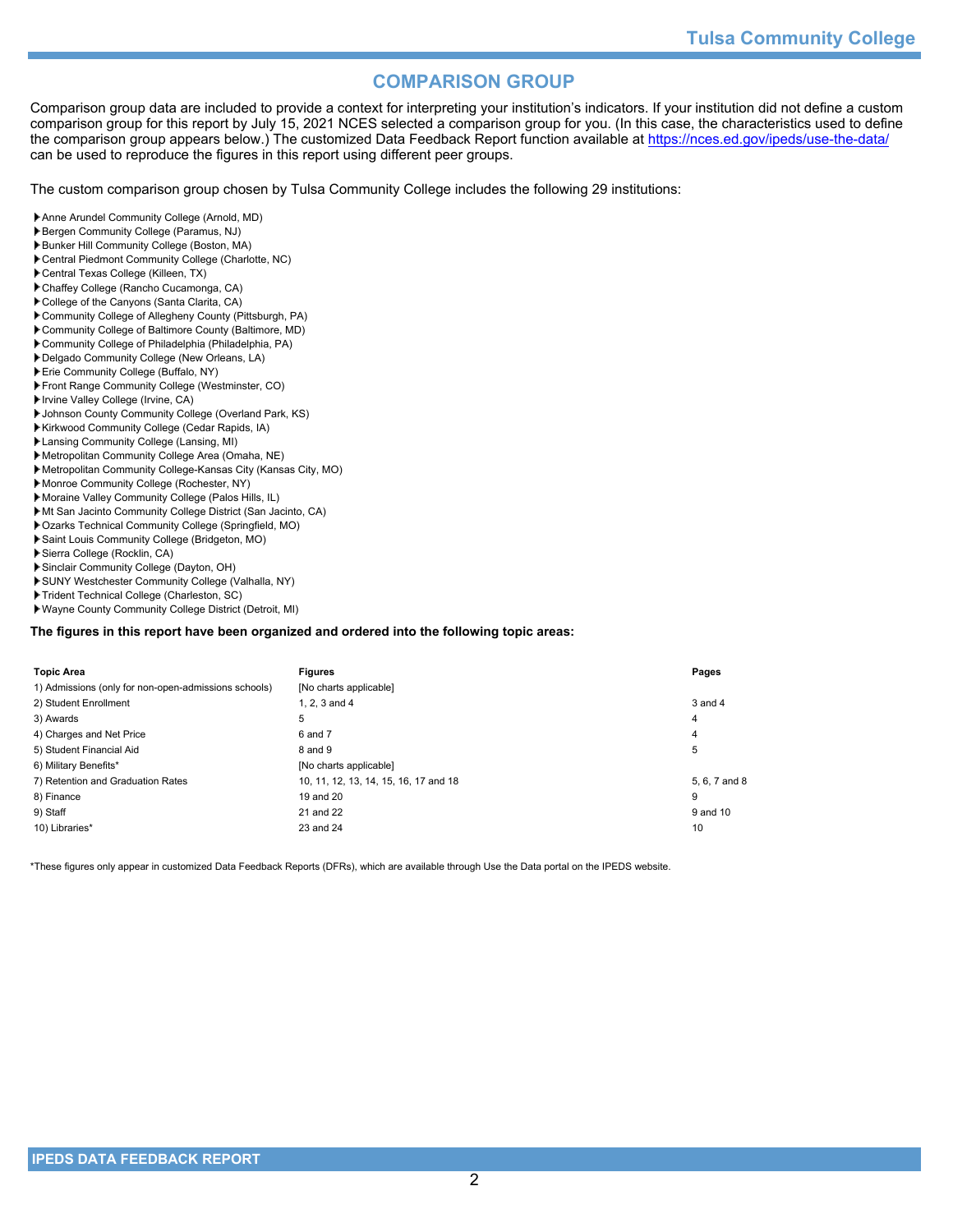# **COMPARISON GROUP**

Comparison group data are included to provide a context for interpreting your institution's indicators. If your institution did not define a custom comparison group for this report by July 15, 2021 NCES selected a comparison group for you. (In this case, the characteristics used to define the comparison group appears below.) The customized Data Feedback Report function available at https://nces.ed.gov/ipeds/use-the-data/ can be used to reproduce the figures in this report using different peer groups.

The custom comparison group chosen by Tulsa Community College includes the following 29 institutions:

- Anne Arundel Community College (Arnold, MD)
- Bergen Community College (Paramus, NJ)
- Bunker Hill Community College (Boston, MA)
- Central Piedmont Community College (Charlotte, NC)
- Central Texas College (Killeen, TX)
- Chaffey College (Rancho Cucamonga, CA)
- College of the Canyons (Santa Clarita, CA)
- Community College of Allegheny County (Pittsburgh, PA)
- Community College of Baltimore County (Baltimore, MD)
- Community College of Philadelphia (Philadelphia, PA)
- Delgado Community College (New Orleans, LA)
- Erie Community College (Buffalo, NY)
- Front Range Community College (Westminster, CO)
- Irvine Valley College (Irvine, CA)
- Johnson County Community College (Overland Park, KS)
- Kirkwood Community College (Cedar Rapids, IA)
- Lansing Community College (Lansing, MI)
- Metropolitan Community College Area (Omaha, NE)
- Metropolitan Community College-Kansas City (Kansas City, MO)
- Monroe Community College (Rochester, NY)
- Moraine Valley Community College (Palos Hills, IL)
- Mt San Jacinto Community College District (San Jacinto, CA)
- Ozarks Technical Community College (Springfield, MO)
- Saint Louis Community College (Bridgeton, MO)
- Sierra College (Rocklin, CA)
- Sinclair Community College (Dayton, OH)
- SUNY Westchester Community College (Valhalla, NY)
- Trident Technical College (Charleston, SC)
- Wayne County Community College District (Detroit, MI)

#### **The figures in this report have been organized and ordered into the following topic areas:**

| <b>Topic Area</b>                                    | <b>Figures</b>                        | Pages         |
|------------------------------------------------------|---------------------------------------|---------------|
| 1) Admissions (only for non-open-admissions schools) | [No charts applicable]                |               |
| 2) Student Enrollment                                | 1, 2, 3 and 4                         | 3 and 4       |
| 3) Awards                                            | 5                                     | 4             |
| 4) Charges and Net Price                             | 6 and 7                               | 4             |
| 5) Student Financial Aid                             | 8 and 9                               | 5             |
| 6) Military Benefits*                                | [No charts applicable]                |               |
| 7) Retention and Graduation Rates                    | 10, 11, 12, 13, 14, 15, 16, 17 and 18 | 5, 6, 7 and 8 |
| 8) Finance                                           | 19 and 20                             | 9             |
| 9) Staff                                             | 21 and 22                             | 9 and 10      |
| 10) Libraries*                                       | 23 and 24                             | 10            |

\*These figures only appear in customized Data Feedback Reports (DFRs), which are available through Use the Data portal on the IPEDS website.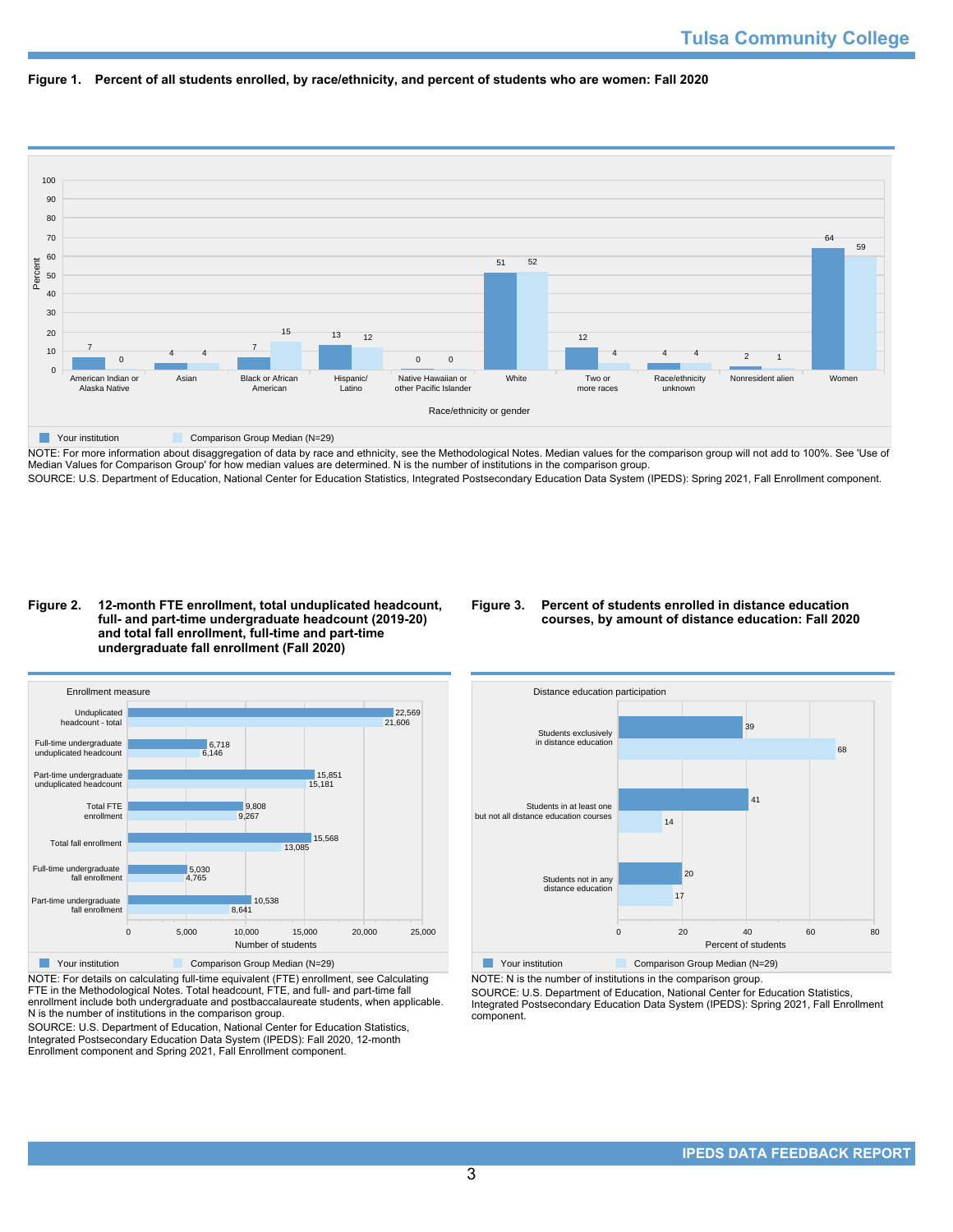



NOTE: For more information about disaggregation of data by race and ethnicity, see the Methodological Notes. Median values for the comparison group will not add to 100%. See 'Use of Median Values for Comparison Group' for how median values are determined. N is the number of institutions in the comparison group. SOURCE: U.S. Department of Education, National Center for Education Statistics, Integrated Postsecondary Education Data System (IPEDS): Spring 2021, Fall Enrollment component.

#### **Figure 2. 12-month FTE enrollment, total unduplicated headcount, full- and part-time undergraduate headcount (2019-20) and total fall enrollment, full-time and part-time undergraduate fall enrollment (Fall 2020)**

## **Figure 3. Percent of students enrolled in distance education courses, by amount of distance education: Fall 2020**

![](_page_2_Figure_6.jpeg)

NOTE: For details on calculating full-time equivalent (FTE) enrollment, see Calculating FTE in the Methodological Notes. Total headcount, FTE, and full- and part-time fall enrollment include both undergraduate and postbaccalaureate students, when applicable. N is the number of institutions in the comparison group.

SOURCE: U.S. Department of Education, National Center for Education Statistics, Integrated Postsecondary Education Data System (IPEDS): Fall 2020, 12-month Enrollment component and Spring 2021, Fall Enrollment component.

![](_page_2_Figure_9.jpeg)

NOTE: N is the number of institutions in the comparison group.

SOURCE: U.S. Department of Education, National Center for Education Statistics, Integrated Postsecondary Education Data System (IPEDS): Spring 2021, Fall Enrollment component.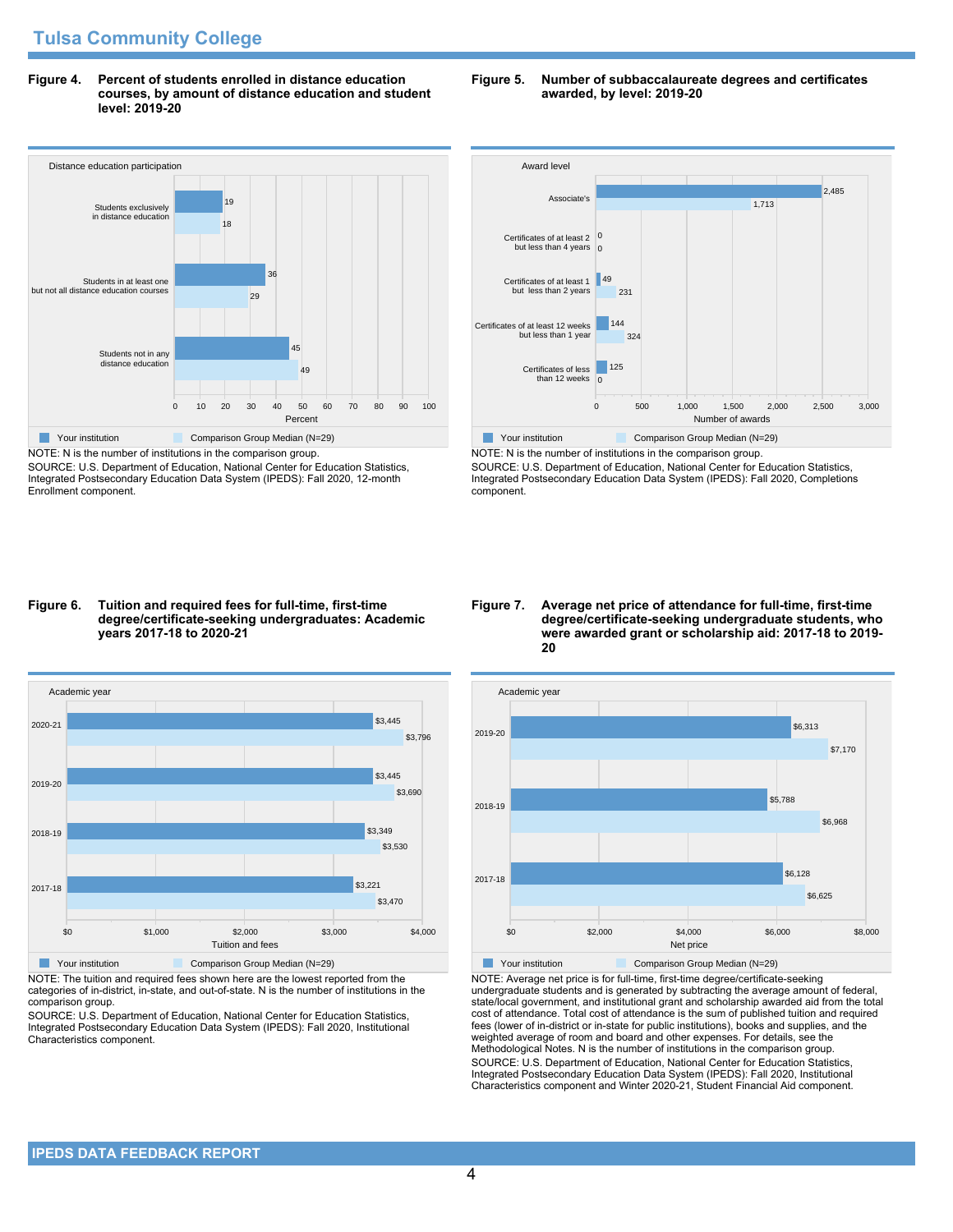**Figure 4. Percent of students enrolled in distance education courses, by amount of distance education and student level: 2019-20**

# Distance education participation 0 10 20 30 40 50 60 70 80 90 100 Percent Students not in any distance education Students in at least one but not all distance education courses Students exclusively in distance education 49 45  $29$ 36 18 19 **The Comparison Group Median (N=29)** Comparison Group Median (N=29)

NOTE: N is the number of institutions in the comparison group. SOURCE: U.S. Department of Education, National Center for Education Statistics, Integrated Postsecondary Education Data System (IPEDS): Fall 2020, 12-month Enrollment component.

#### **Figure 5. Number of subbaccalaureate degrees and certificates awarded, by level: 2019-20**

![](_page_3_Figure_5.jpeg)

NOTE: N is the number of institutions in the comparison group. SOURCE: U.S. Department of Education, National Center for Education Statistics, Integrated Postsecondary Education Data System (IPEDS): Fall 2020, Completions component.

#### **Figure 6. Tuition and required fees for full-time, first-time degree/certificate-seeking undergraduates: Academic years 2017-18 to 2020-21**

![](_page_3_Figure_8.jpeg)

NOTE: The tuition and required fees shown here are the lowest reported from the categories of in-district, in-state, and out-of-state. N is the number of institutions in the comparison group.

SOURCE: U.S. Department of Education, National Center for Education Statistics, Integrated Postsecondary Education Data System (IPEDS): Fall 2020, Institutional Characteristics component.

#### **Figure 7. Average net price of attendance for full-time, first-time degree/certificate-seeking undergraduate students, who were awarded grant or scholarship aid: 2017-18 to 2019- 20**

![](_page_3_Figure_12.jpeg)

NOTE: Average net price is for full-time, first-time degree/certificate-seeking undergraduate students and is generated by subtracting the average amount of federal, state/local government, and institutional grant and scholarship awarded aid from the total cost of attendance. Total cost of attendance is the sum of published tuition and required fees (lower of in-district or in-state for public institutions), books and supplies, and the weighted average of room and board and other expenses. For details, see the Methodological Notes. N is the number of institutions in the comparison group. SOURCE: U.S. Department of Education, National Center for Education Statistics, Integrated Postsecondary Education Data System (IPEDS): Fall 2020, Institutional Characteristics component and Winter 2020-21, Student Financial Aid component.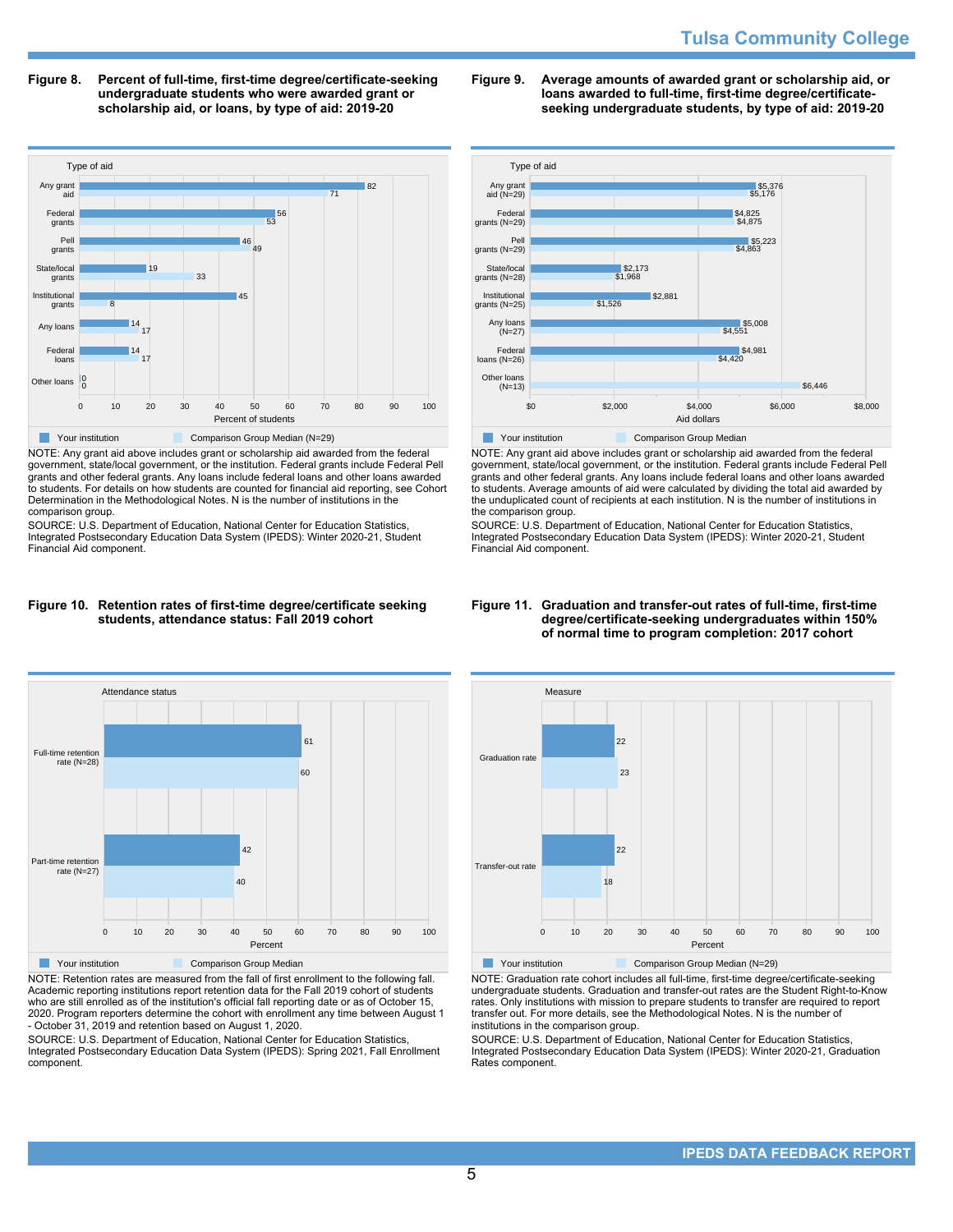**Figure 8. Percent of full-time, first-time degree/certificate-seeking undergraduate students who were awarded grant or scholarship aid, or loans, by type of aid: 2019-20**

![](_page_4_Figure_2.jpeg)

NOTE: Any grant aid above includes grant or scholarship aid awarded from the federal government, state/local government, or the institution. Federal grants include Federal Pell grants and other federal grants. Any loans include federal loans and other loans awarded to students. For details on how students are counted for financial aid reporting, see Cohort Determination in the Methodological Notes. N is the number of institutions in the comparison group.

SOURCE: U.S. Department of Education, National Center for Education Statistics, Integrated Postsecondary Education Data System (IPEDS): Winter 2020-21, Student Financial Aid component.

![](_page_4_Figure_5.jpeg)

![](_page_4_Figure_6.jpeg)

NOTE: Retention rates are measured from the fall of first enrollment to the following fall. Academic reporting institutions report retention data for the Fall 2019 cohort of students who are still enrolled as of the institution's official fall reporting date or as of October 15, 2020. Program reporters determine the cohort with enrollment any time between August 1 - October 31, 2019 and retention based on August 1, 2020.

SOURCE: U.S. Department of Education, National Center for Education Statistics, Integrated Postsecondary Education Data System (IPEDS): Spring 2021, Fall Enrollment component.

#### **Figure 9. Average amounts of awarded grant or scholarship aid, or loans awarded to full-time, first-time degree/certificateseeking undergraduate students, by type of aid: 2019-20**

![](_page_4_Figure_10.jpeg)

NOTE: Any grant aid above includes grant or scholarship aid awarded from the federal government, state/local government, or the institution. Federal grants include Federal Pell grants and other federal grants. Any loans include federal loans and other loans awarded to students. Average amounts of aid were calculated by dividing the total aid awarded by the unduplicated count of recipients at each institution. N is the number of institutions in the comparison group.

SOURCE: U.S. Department of Education, National Center for Education Statistics, Integrated Postsecondary Education Data System (IPEDS): Winter 2020-21, Student Financial Aid component.

#### **Figure 11. Graduation and transfer-out rates of full-time, first-time degree/certificate-seeking undergraduates within 150% of normal time to program completion: 2017 cohort**

![](_page_4_Figure_14.jpeg)

NOTE: Graduation rate cohort includes all full-time, first-time degree/certificate-seeking undergraduate students. Graduation and transfer-out rates are the Student Right-to-Know rates. Only institutions with mission to prepare students to transfer are required to report transfer out. For more details, see the Methodological Notes. N is the number of institutions in the comparison group.

SOURCE: U.S. Department of Education, National Center for Education Statistics, Integrated Postsecondary Education Data System (IPEDS): Winter 2020-21, Graduation Rates component.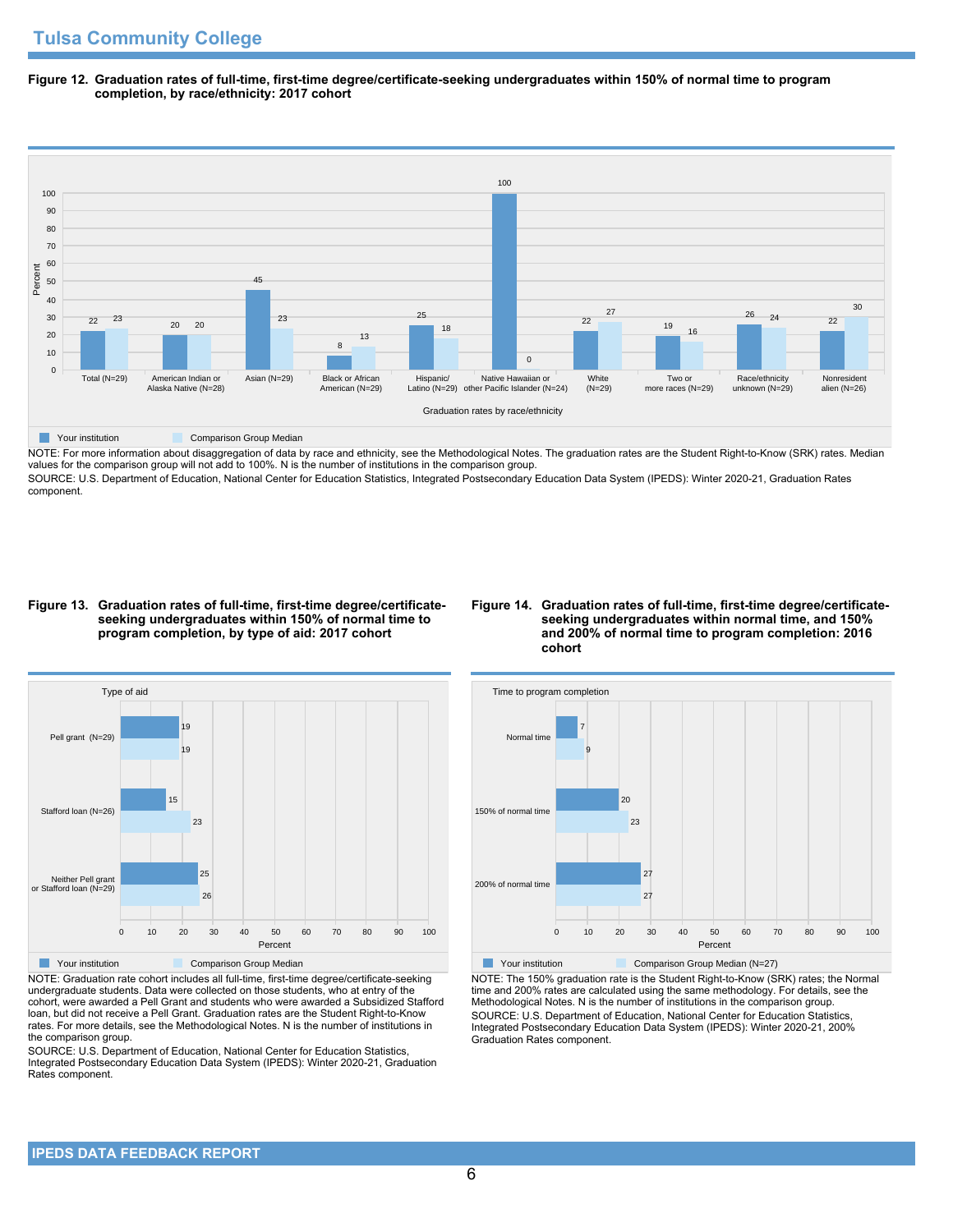**Figure 12. Graduation rates of full-time, first-time degree/certificate-seeking undergraduates within 150% of normal time to program completion, by race/ethnicity: 2017 cohort**

![](_page_5_Figure_2.jpeg)

NOTE: For more information about disaggregation of data by race and ethnicity, see the Methodological Notes. The graduation rates are the Student Right-to-Know (SRK) rates. Median values for the comparison group will not add to 100%. N is the number of institutions in the comparison group.

SOURCE: U.S. Department of Education, National Center for Education Statistics, Integrated Postsecondary Education Data System (IPEDS): Winter 2020-21, Graduation Rates component.

#### **Figure 13. Graduation rates of full-time, first-time degree/certificateseeking undergraduates within 150% of normal time to program completion, by type of aid: 2017 cohort**

#### **Figure 14. Graduation rates of full-time, first-time degree/certificateseeking undergraduates within normal time, and 150% and 200% of normal time to program completion: 2016 cohort**

![](_page_5_Figure_7.jpeg)

NOTE: Graduation rate cohort includes all full-time, first-time degree/certificate-seeking undergraduate students. Data were collected on those students, who at entry of the cohort, were awarded a Pell Grant and students who were awarded a Subsidized Stafford loan, but did not receive a Pell Grant. Graduation rates are the Student Right-to-Know rates. For more details, see the Methodological Notes. N is the number of institutions in the comparison group.

SOURCE: U.S. Department of Education, National Center for Education Statistics, Integrated Postsecondary Education Data System (IPEDS): Winter 2020-21, Graduation Rates component.

![](_page_5_Figure_10.jpeg)

NOTE: The 150% graduation rate is the Student Right-to-Know (SRK) rates; the Normal time and 200% rates are calculated using the same methodology. For details, see the Methodological Notes. N is the number of institutions in the comparison group. SOURCE: U.S. Department of Education, National Center for Education Statistics, Integrated Postsecondary Education Data System (IPEDS): Winter 2020-21, 200% Graduation Rates component.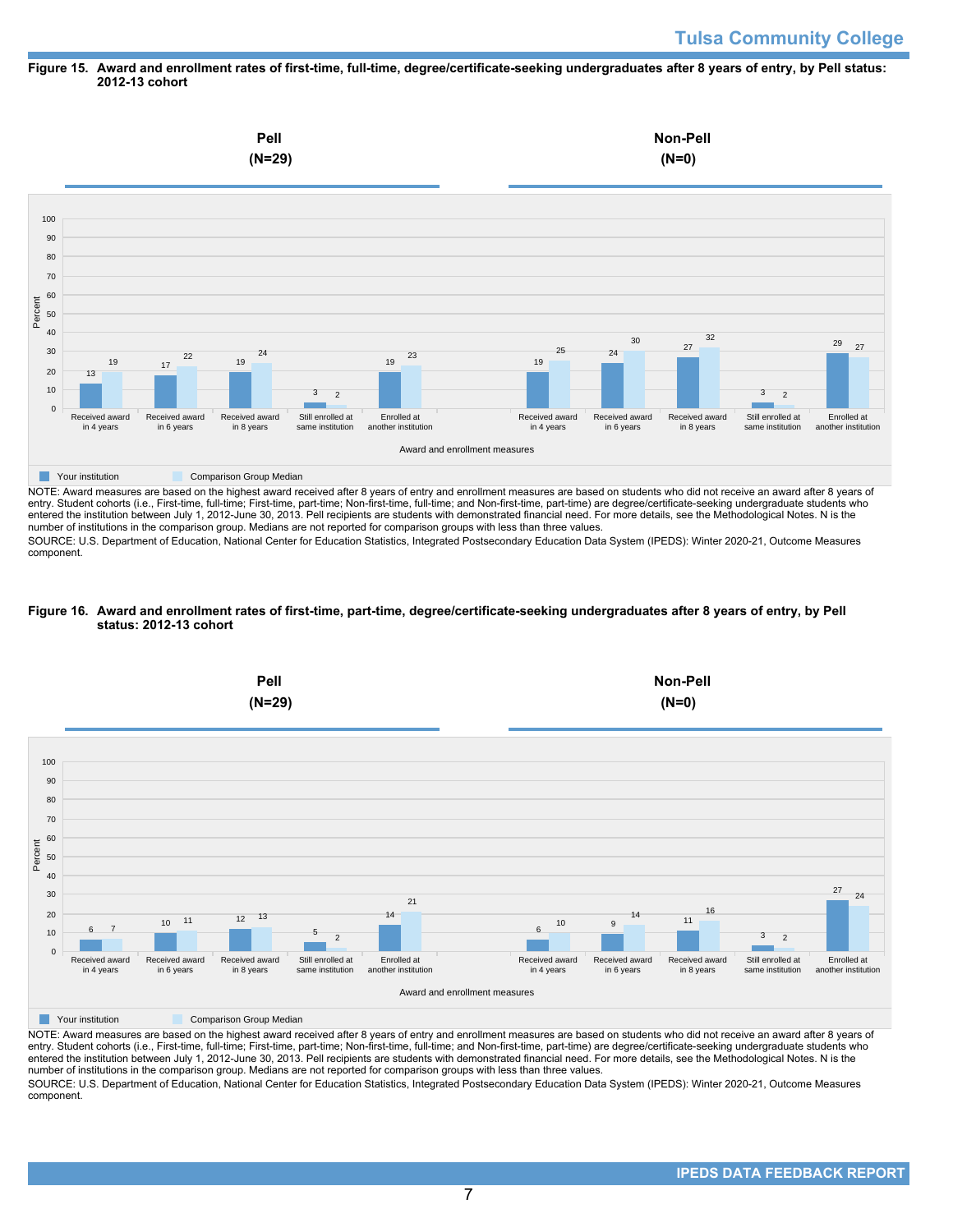#### **Figure 15. Award and enrollment rates of first-time, full-time, degree/certificate-seeking undergraduates after 8 years of entry, by Pell status: 2012-13 cohort**

![](_page_6_Figure_2.jpeg)

NOTE: Award measures are based on the highest award received after 8 years of entry and enrollment measures are based on students who did not receive an award after 8 years of entry. Student cohorts (i.e., First-time, full-time; First-time, part-time; Non-first-time, full-time; and Non-first-time, part-time) are degree/certificate-seeking undergraduate students who entered the institution between July 1, 2012-June 30, 2013. Pell recipients are students with demonstrated financial need. For more details, see the Methodological Notes. N is the number of institutions in the comparison group. Medians are not reported for comparison groups with less than three values.

SOURCE: U.S. Department of Education, National Center for Education Statistics, Integrated Postsecondary Education Data System (IPEDS): Winter 2020-21, Outcome Measures component.

#### **Figure 16. Award and enrollment rates of first-time, part-time, degree/certificate-seeking undergraduates after 8 years of entry, by Pell status: 2012-13 cohort**

![](_page_6_Figure_6.jpeg)

NOTE: Award measures are based on the highest award received after 8 years of entry and enrollment measures are based on students who did not receive an award after 8 years of entry. Student cohorts (i.e., First-time, full-time; First-time, part-time; Non-first-time, full-time; and Non-first-time, part-time) are degree/certificate-seeking undergraduate students who entered the institution between July 1, 2012-June 30, 2013. Pell recipients are students with demonstrated financial need. For more details, see the Methodological Notes. N is the number of institutions in the comparison group. Medians are not reported for comparison groups with less than three values. SOURCE: U.S. Department of Education, National Center for Education Statistics, Integrated Postsecondary Education Data System (IPEDS): Winter 2020-21, Outcome Measures component.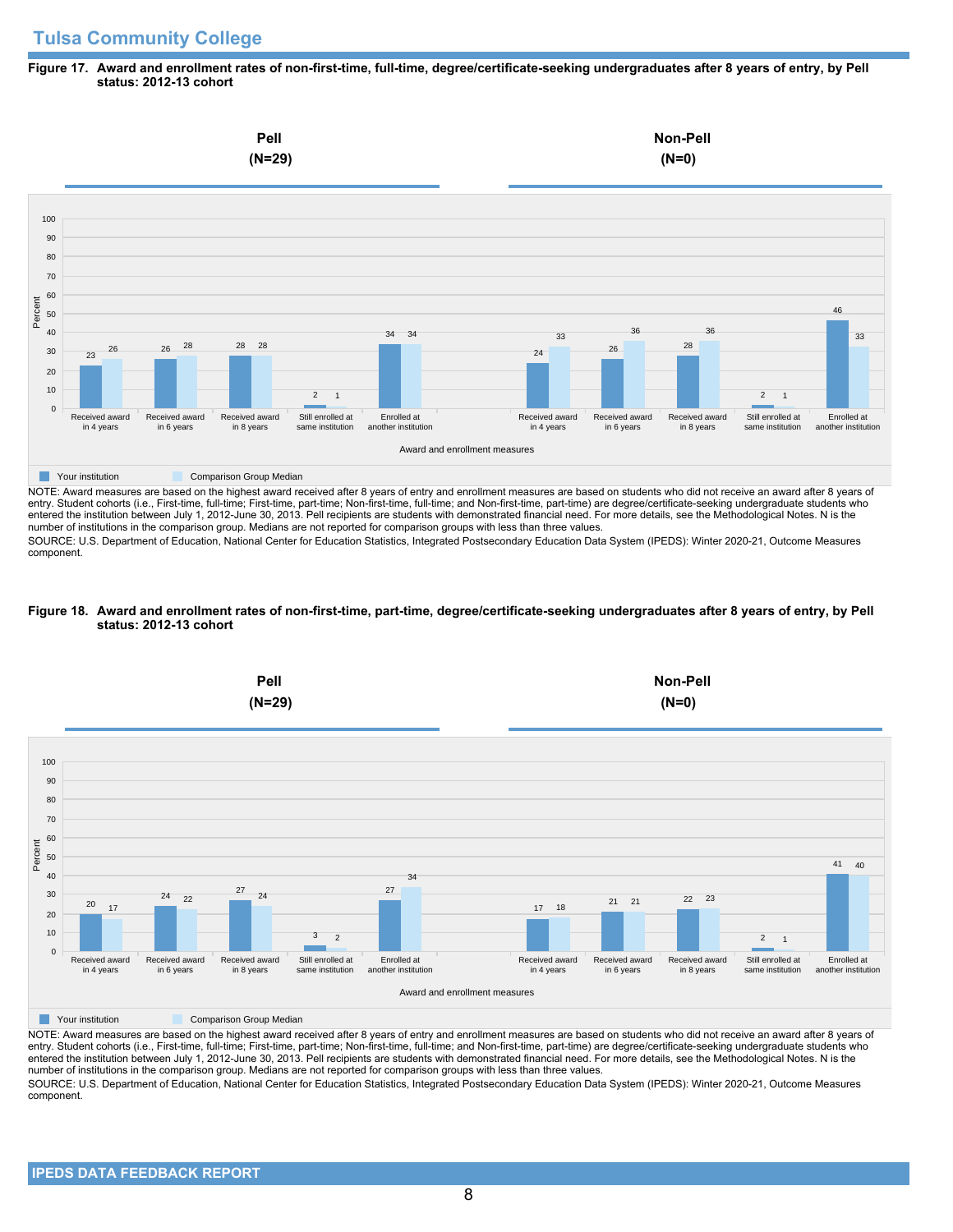# **Tulsa Community College**

#### **Figure 17. Award and enrollment rates of non-first-time, full-time, degree/certificate-seeking undergraduates after 8 years of entry, by Pell status: 2012-13 cohort**

![](_page_7_Figure_2.jpeg)

NOTE: Award measures are based on the highest award received after 8 years of entry and enrollment measures are based on students who did not receive an award after 8 years of entry. Student cohorts (i.e., First-time, full-time; First-time, part-time; Non-first-time, full-time; and Non-first-time, part-time) are degree/certificate-seeking undergraduate students who entered the institution between July 1, 2012-June 30, 2013. Pell recipients are students with demonstrated financial need. For more details, see the Methodological Notes. N is the number of institutions in the comparison group. Medians are not reported for comparison groups with less than three values.

SOURCE: U.S. Department of Education, National Center for Education Statistics, Integrated Postsecondary Education Data System (IPEDS): Winter 2020-21, Outcome Measures component.

## **Figure 18. Award and enrollment rates of non-first-time, part-time, degree/certificate-seeking undergraduates after 8 years of entry, by Pell status: 2012-13 cohort**

![](_page_7_Figure_6.jpeg)

NOTE: Award measures are based on the highest award received after 8 years of entry and enrollment measures are based on students who did not receive an award after 8 years of entry. Student cohorts (i.e., First-time, full-time; First-time, part-time; Non-first-time, full-time; and Non-first-time, part-time) are degree/certificate-seeking undergraduate students who entered the institution between July 1, 2012-June 30, 2013. Pell recipients are students with demonstrated financial need. For more details, see the Methodological Notes. N is the number of institutions in the comparison group. Medians are not reported for comparison groups with less than three values. SOURCE: U.S. Department of Education, National Center for Education Statistics, Integrated Postsecondary Education Data System (IPEDS): Winter 2020-21, Outcome Measures component.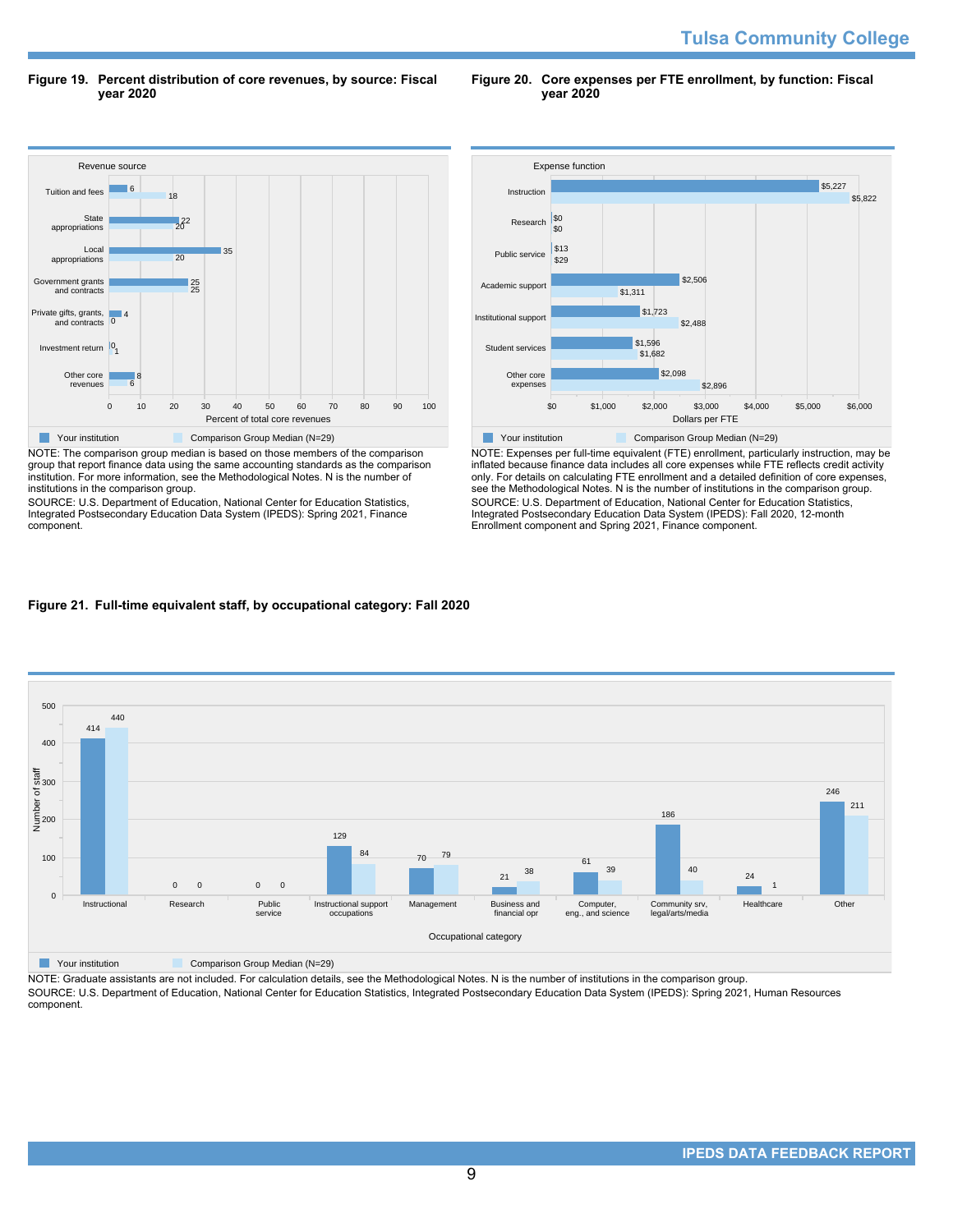**Tulsa Community College** 

**Figure 19. Percent distribution of core revenues, by source: Fiscal year 2020**

**Figure 20. Core expenses per FTE enrollment, by function: Fiscal year 2020**

![](_page_8_Figure_3.jpeg)

NOTE: The comparison group median is based on those members of the comparison group that report finance data using the same accounting standards as the comparison institution. For more information, see the Methodological Notes. N is the number of institutions in the comparison group.

SOURCE: U.S. Department of Education, National Center for Education Statistics, Integrated Postsecondary Education Data System (IPEDS): Spring 2021, Finance component.

![](_page_8_Figure_6.jpeg)

NOTE: Expenses per full-time equivalent (FTE) enrollment, particularly instruction, may be inflated because finance data includes all core expenses while FTE reflects credit activity only. For details on calculating FTE enrollment and a detailed definition of core expenses, see the Methodological Notes. N is the number of institutions in the comparison group. SOURCE: U.S. Department of Education, National Center for Education Statistics, Integrated Postsecondary Education Data System (IPEDS): Fall 2020, 12-month Enrollment component and Spring 2021, Finance component.

## **Figure 21. Full-time equivalent staff, by occupational category: Fall 2020**

![](_page_8_Figure_9.jpeg)

**The Comparison Group Median (N=29)** Comparison Group Median (N=29)

NOTE: Graduate assistants are not included. For calculation details, see the Methodological Notes. N is the number of institutions in the comparison group. SOURCE: U.S. Department of Education, National Center for Education Statistics, Integrated Postsecondary Education Data System (IPEDS): Spring 2021, Human Resources component.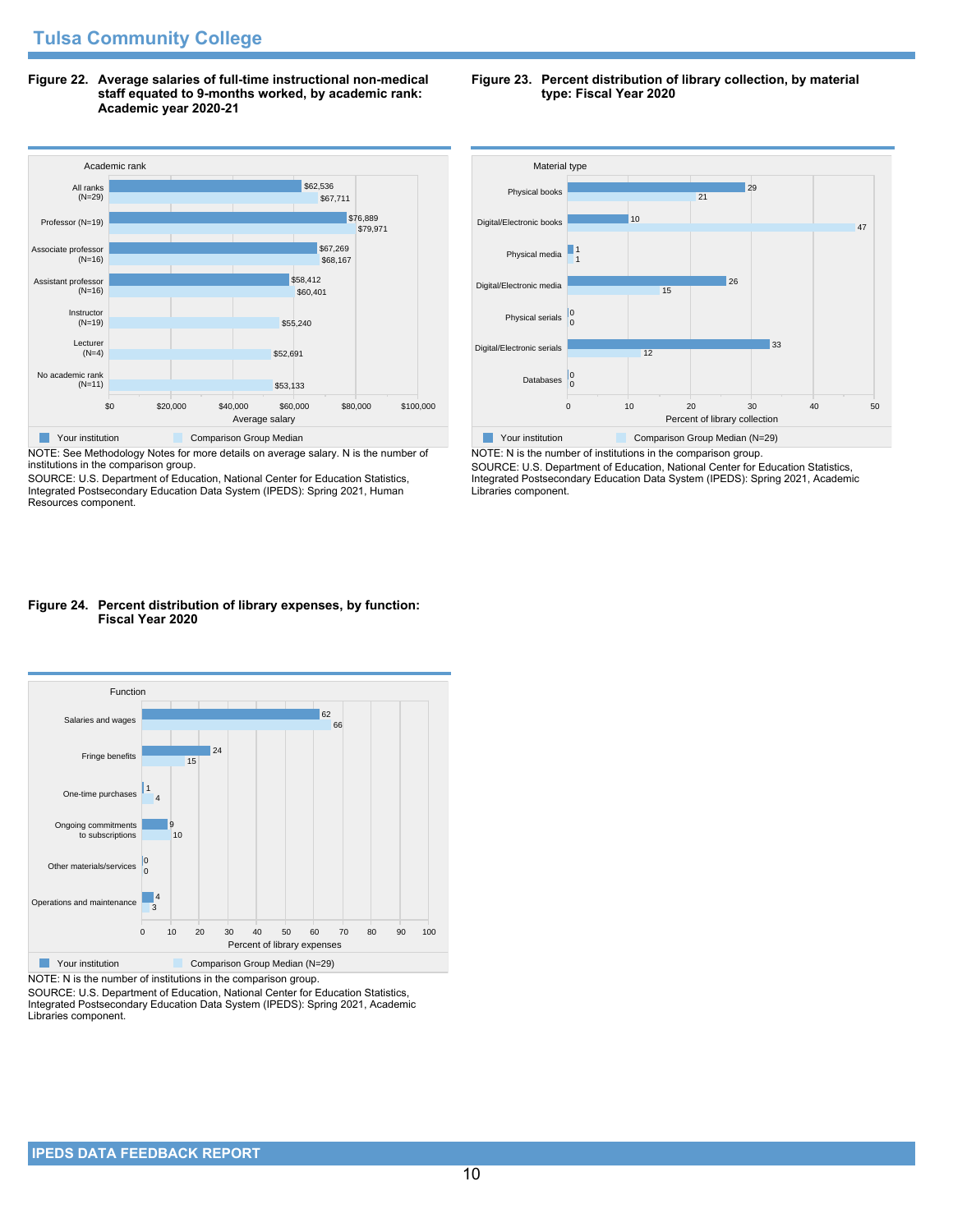**Figure 22. Average salaries of full-time instructional non-medical staff equated to 9-months worked, by academic rank: Academic year 2020-21**

![](_page_9_Figure_2.jpeg)

NOTE: See Methodology Notes for more details on average salary. N is the number of institutions in the comparison group.

SOURCE: U.S. Department of Education, National Center for Education Statistics, Integrated Postsecondary Education Data System (IPEDS): Spring 2021, Human Resources component.

#### **Figure 23. Percent distribution of library collection, by material type: Fiscal Year 2020**

![](_page_9_Figure_6.jpeg)

NOTE: N is the number of institutions in the comparison group. SOURCE: U.S. Department of Education, National Center for Education Statistics, Integrated Postsecondary Education Data System (IPEDS): Spring 2021, Academic Libraries component.

## **Figure 24. Percent distribution of library expenses, by function: Fiscal Year 2020**

![](_page_9_Figure_9.jpeg)

NOTE: N is the number of institutions in the comparison group.

SOURCE: U.S. Department of Education, National Center for Education Statistics, Integrated Postsecondary Education Data System (IPEDS): Spring 2021, Academic Libraries component.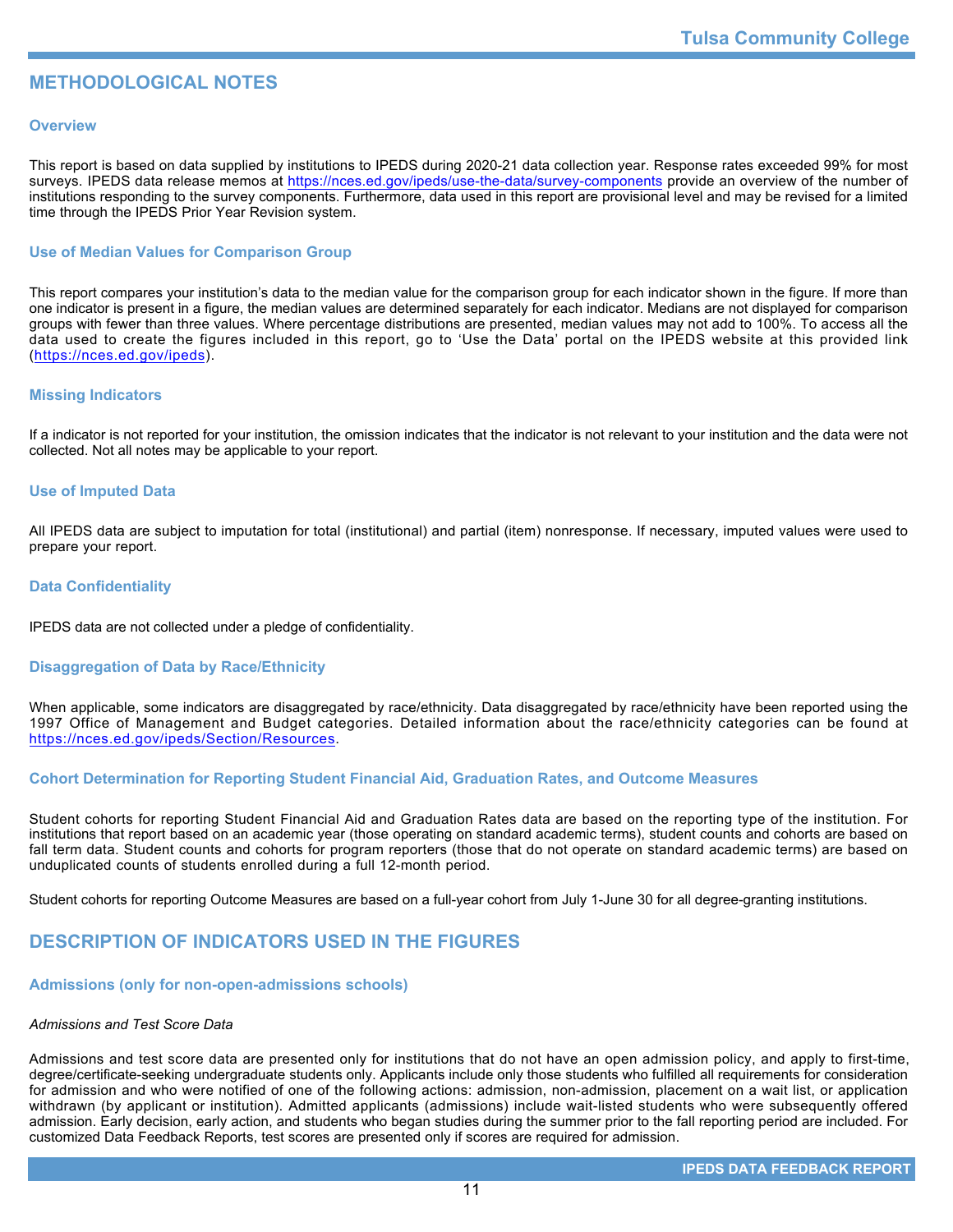# **METHODOLOGICAL NOTES**

## **Overview**

This report is based on data supplied by institutions to IPEDS during 2020-21 data collection year. Response rates exceeded 99% for most surveys. IPEDS data release memos at https://nces.ed.gov/ipeds/use-the-data/survey-components provide an overview of the number of institutions responding to the survey components. Furthermore, data used in this report are provisional level and may be revised for a limited time through the IPEDS Prior Year Revision system.

## **Use of Median Values for Comparison Group**

This report compares your institution's data to the median value for the comparison group for each indicator shown in the figure. If more than one indicator is present in a figure, the median values are determined separately for each indicator. Medians are not displayed for comparison groups with fewer than three values. Where percentage distributions are presented, median values may not add to 100%. To access all the data used to create the figures included in this report, go to 'Use the Data' portal on the IPEDS website at this provided link (https://nces.ed.gov/ipeds).

#### **Missing Indicators**

If a indicator is not reported for your institution, the omission indicates that the indicator is not relevant to your institution and the data were not collected. Not all notes may be applicable to your report.

#### **Use of Imputed Data**

All IPEDS data are subject to imputation for total (institutional) and partial (item) nonresponse. If necessary, imputed values were used to prepare your report.

#### **Data Confidentiality**

IPEDS data are not collected under a pledge of confidentiality.

## **Disaggregation of Data by Race/Ethnicity**

When applicable, some indicators are disaggregated by race/ethnicity. Data disaggregated by race/ethnicity have been reported using the 1997 Office of Management and Budget categories. Detailed information about the race/ethnicity categories can be found at https://nces.ed.gov/ipeds/Section/Resources.

#### **Cohort Determination for Reporting Student Financial Aid, Graduation Rates, and Outcome Measures**

Student cohorts for reporting Student Financial Aid and Graduation Rates data are based on the reporting type of the institution. For institutions that report based on an academic year (those operating on standard academic terms), student counts and cohorts are based on fall term data. Student counts and cohorts for program reporters (those that do not operate on standard academic terms) are based on unduplicated counts of students enrolled during a full 12-month period.

Student cohorts for reporting Outcome Measures are based on a full-year cohort from July 1-June 30 for all degree-granting institutions.

# **DESCRIPTION OF INDICATORS USED IN THE FIGURES**

## **Admissions (only for non-open-admissions schools)**

#### *Admissions and Test Score Data*

Admissions and test score data are presented only for institutions that do not have an open admission policy, and apply to first-time, degree/certificate-seeking undergraduate students only. Applicants include only those students who fulfilled all requirements for consideration for admission and who were notified of one of the following actions: admission, non-admission, placement on a wait list, or application withdrawn (by applicant or institution). Admitted applicants (admissions) include wait-listed students who were subsequently offered admission. Early decision, early action, and students who began studies during the summer prior to the fall reporting period are included. For customized Data Feedback Reports, test scores are presented only if scores are required for admission.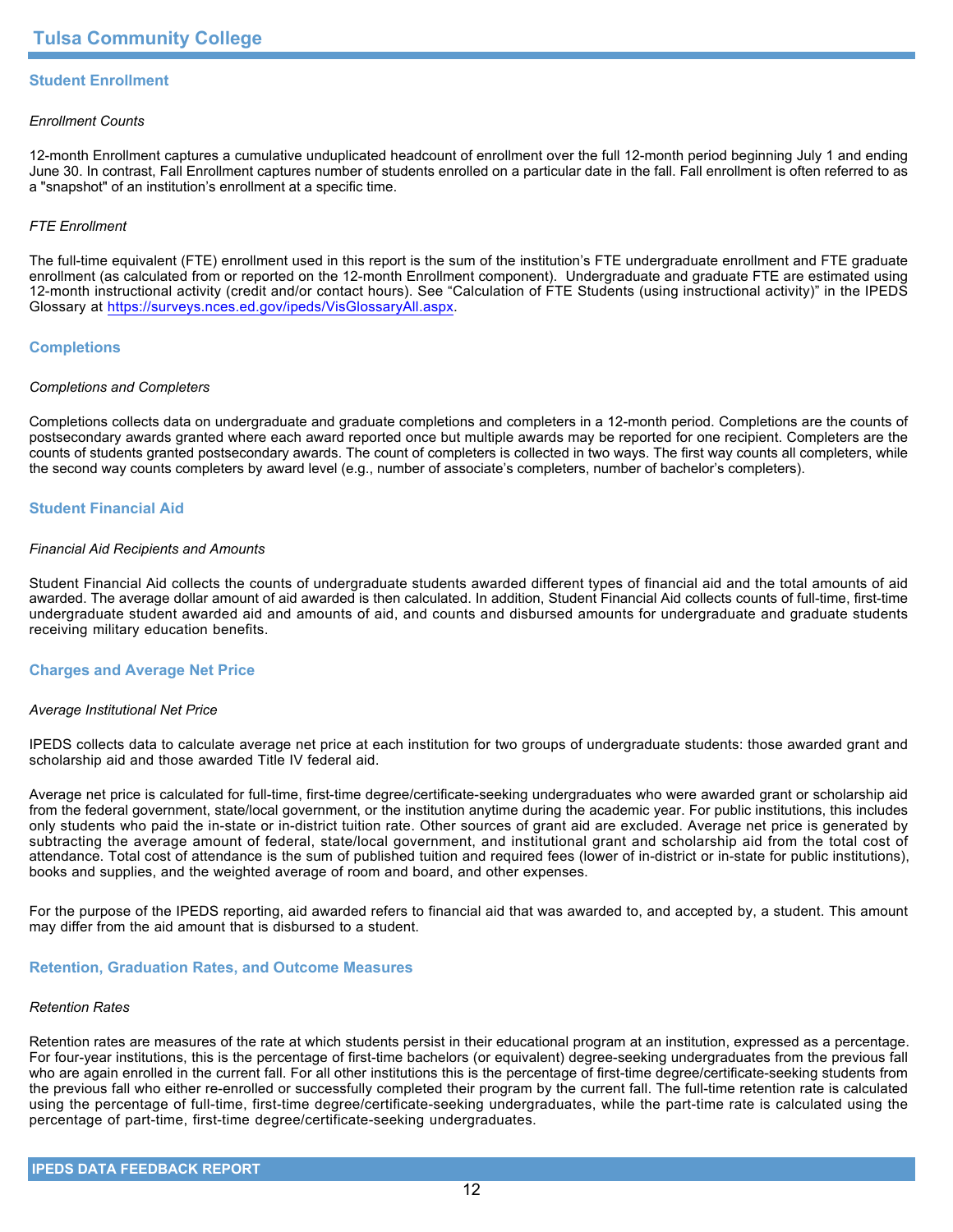## **Student Enrollment**

#### *Enrollment Counts*

12-month Enrollment captures a cumulative unduplicated headcount of enrollment over the full 12-month period beginning July 1 and ending June 30. In contrast, Fall Enrollment captures number of students enrolled on a particular date in the fall. Fall enrollment is often referred to as a "snapshot" of an institution's enrollment at a specific time.

#### *FTE Enrollment*

The full-time equivalent (FTE) enrollment used in this report is the sum of the institution's FTE undergraduate enrollment and FTE graduate enrollment (as calculated from or reported on the 12-month Enrollment component). Undergraduate and graduate FTE are estimated using 12-month instructional activity (credit and/or contact hours). See "Calculation of FTE Students (using instructional activity)" in the IPEDS Glossary at https://surveys.nces.ed.gov/ipeds/VisGlossaryAll.aspx.

#### **Completions**

#### *Completions and Completers*

Completions collects data on undergraduate and graduate completions and completers in a 12-month period. Completions are the counts of postsecondary awards granted where each award reported once but multiple awards may be reported for one recipient. Completers are the counts of students granted postsecondary awards. The count of completers is collected in two ways. The first way counts all completers, while the second way counts completers by award level (e.g., number of associate's completers, number of bachelor's completers).

## **Student Financial Aid**

#### *Financial Aid Recipients and Amounts*

Student Financial Aid collects the counts of undergraduate students awarded different types of financial aid and the total amounts of aid awarded. The average dollar amount of aid awarded is then calculated. In addition, Student Financial Aid collects counts of full-time, first-time undergraduate student awarded aid and amounts of aid, and counts and disbursed amounts for undergraduate and graduate students receiving military education benefits.

#### **Charges and Average Net Price**

#### *Average Institutional Net Price*

IPEDS collects data to calculate average net price at each institution for two groups of undergraduate students: those awarded grant and scholarship aid and those awarded Title IV federal aid.

Average net price is calculated for full-time, first-time degree/certificate-seeking undergraduates who were awarded grant or scholarship aid from the federal government, state/local government, or the institution anytime during the academic year. For public institutions, this includes only students who paid the in-state or in-district tuition rate. Other sources of grant aid are excluded. Average net price is generated by subtracting the average amount of federal, state/local government, and institutional grant and scholarship aid from the total cost of attendance. Total cost of attendance is the sum of published tuition and required fees (lower of in-district or in-state for public institutions), books and supplies, and the weighted average of room and board, and other expenses.

For the purpose of the IPEDS reporting, aid awarded refers to financial aid that was awarded to, and accepted by, a student. This amount may differ from the aid amount that is disbursed to a student.

#### **Retention, Graduation Rates, and Outcome Measures**

#### *Retention Rates*

Retention rates are measures of the rate at which students persist in their educational program at an institution, expressed as a percentage. For four-year institutions, this is the percentage of first-time bachelors (or equivalent) degree-seeking undergraduates from the previous fall who are again enrolled in the current fall. For all other institutions this is the percentage of first-time degree/certificate-seeking students from the previous fall who either re-enrolled or successfully completed their program by the current fall. The full-time retention rate is calculated using the percentage of full-time, first-time degree/certificate-seeking undergraduates, while the part-time rate is calculated using the percentage of part-time, first-time degree/certificate-seeking undergraduates.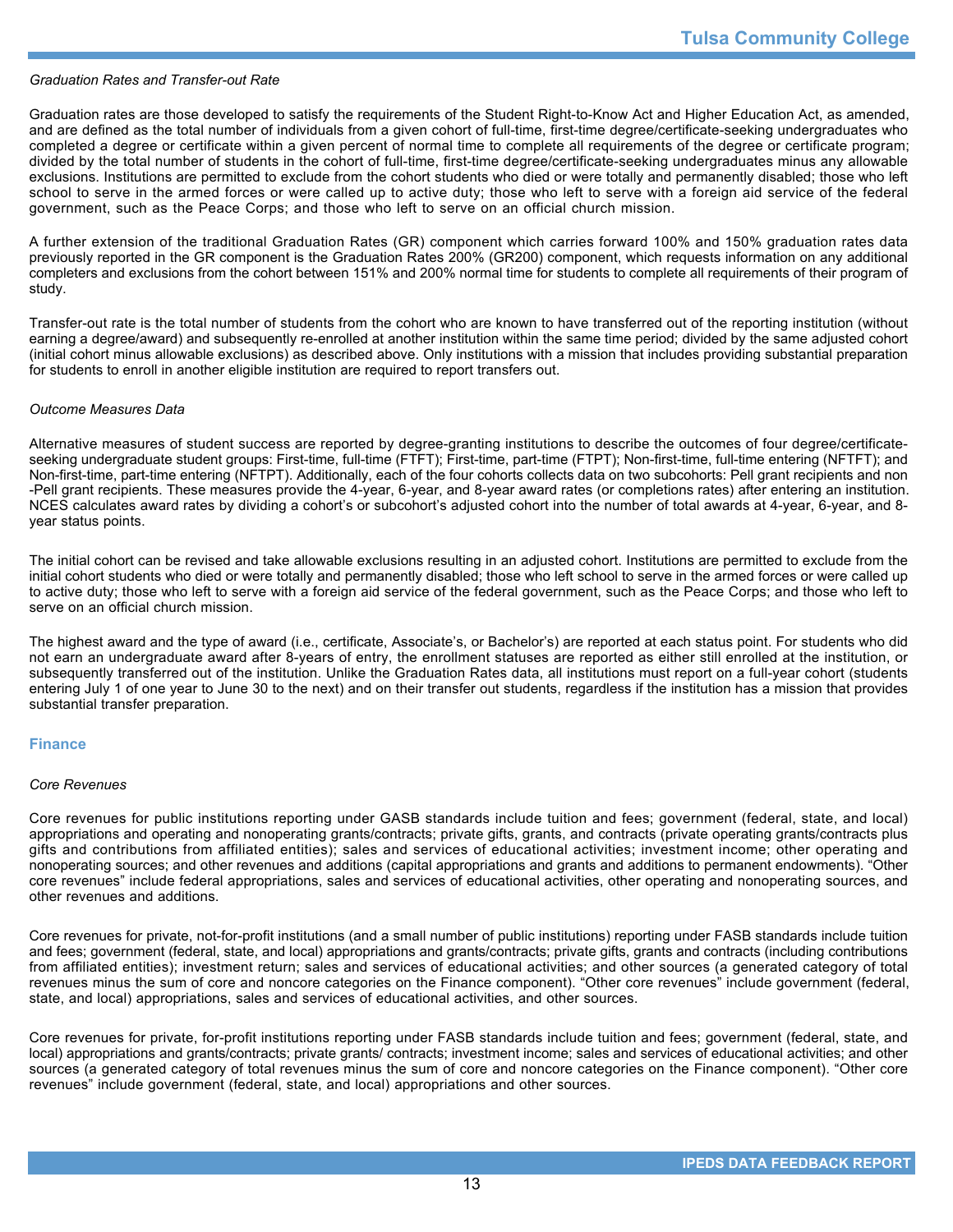#### *Graduation Rates and Transfer-out Rate*

Graduation rates are those developed to satisfy the requirements of the Student Right-to-Know Act and Higher Education Act, as amended, and are defined as the total number of individuals from a given cohort of full-time, first-time degree/certificate-seeking undergraduates who completed a degree or certificate within a given percent of normal time to complete all requirements of the degree or certificate program; divided by the total number of students in the cohort of full-time, first-time degree/certificate-seeking undergraduates minus any allowable exclusions. Institutions are permitted to exclude from the cohort students who died or were totally and permanently disabled; those who left school to serve in the armed forces or were called up to active duty; those who left to serve with a foreign aid service of the federal government, such as the Peace Corps; and those who left to serve on an official church mission.

A further extension of the traditional Graduation Rates (GR) component which carries forward 100% and 150% graduation rates data previously reported in the GR component is the Graduation Rates 200% (GR200) component, which requests information on any additional completers and exclusions from the cohort between 151% and 200% normal time for students to complete all requirements of their program of study.

Transfer-out rate is the total number of students from the cohort who are known to have transferred out of the reporting institution (without earning a degree/award) and subsequently re-enrolled at another institution within the same time period; divided by the same adjusted cohort (initial cohort minus allowable exclusions) as described above. Only institutions with a mission that includes providing substantial preparation for students to enroll in another eligible institution are required to report transfers out.

#### *Outcome Measures Data*

Alternative measures of student success are reported by degree-granting institutions to describe the outcomes of four degree/certificateseeking undergraduate student groups: First-time, full-time (FTFT); First-time, part-time (FTPT); Non-first-time, full-time entering (NFTFT); and Non-first-time, part-time entering (NFTPT). Additionally, each of the four cohorts collects data on two subcohorts: Pell grant recipients and non -Pell grant recipients. These measures provide the 4-year, 6-year, and 8-year award rates (or completions rates) after entering an institution. NCES calculates award rates by dividing a cohort's or subcohort's adjusted cohort into the number of total awards at 4-year, 6-year, and 8year status points.

The initial cohort can be revised and take allowable exclusions resulting in an adjusted cohort. Institutions are permitted to exclude from the initial cohort students who died or were totally and permanently disabled; those who left school to serve in the armed forces or were called up to active duty; those who left to serve with a foreign aid service of the federal government, such as the Peace Corps; and those who left to serve on an official church mission.

The highest award and the type of award (i.e., certificate, Associate's, or Bachelor's) are reported at each status point. For students who did not earn an undergraduate award after 8-years of entry, the enrollment statuses are reported as either still enrolled at the institution, or subsequently transferred out of the institution. Unlike the Graduation Rates data, all institutions must report on a full-year cohort (students entering July 1 of one year to June 30 to the next) and on their transfer out students, regardless if the institution has a mission that provides substantial transfer preparation.

#### **Finance**

#### *Core Revenues*

Core revenues for public institutions reporting under GASB standards include tuition and fees; government (federal, state, and local) appropriations and operating and nonoperating grants/contracts; private gifts, grants, and contracts (private operating grants/contracts plus gifts and contributions from affiliated entities); sales and services of educational activities; investment income; other operating and nonoperating sources; and other revenues and additions (capital appropriations and grants and additions to permanent endowments). "Other core revenues" include federal appropriations, sales and services of educational activities, other operating and nonoperating sources, and other revenues and additions.

Core revenues for private, not-for-profit institutions (and a small number of public institutions) reporting under FASB standards include tuition and fees; government (federal, state, and local) appropriations and grants/contracts; private gifts, grants and contracts (including contributions from affiliated entities); investment return; sales and services of educational activities; and other sources (a generated category of total revenues minus the sum of core and noncore categories on the Finance component). "Other core revenues" include government (federal, state, and local) appropriations, sales and services of educational activities, and other sources.

Core revenues for private, for-profit institutions reporting under FASB standards include tuition and fees; government (federal, state, and local) appropriations and grants/contracts; private grants/ contracts; investment income; sales and services of educational activities; and other sources (a generated category of total revenues minus the sum of core and noncore categories on the Finance component). "Other core revenues" include government (federal, state, and local) appropriations and other sources.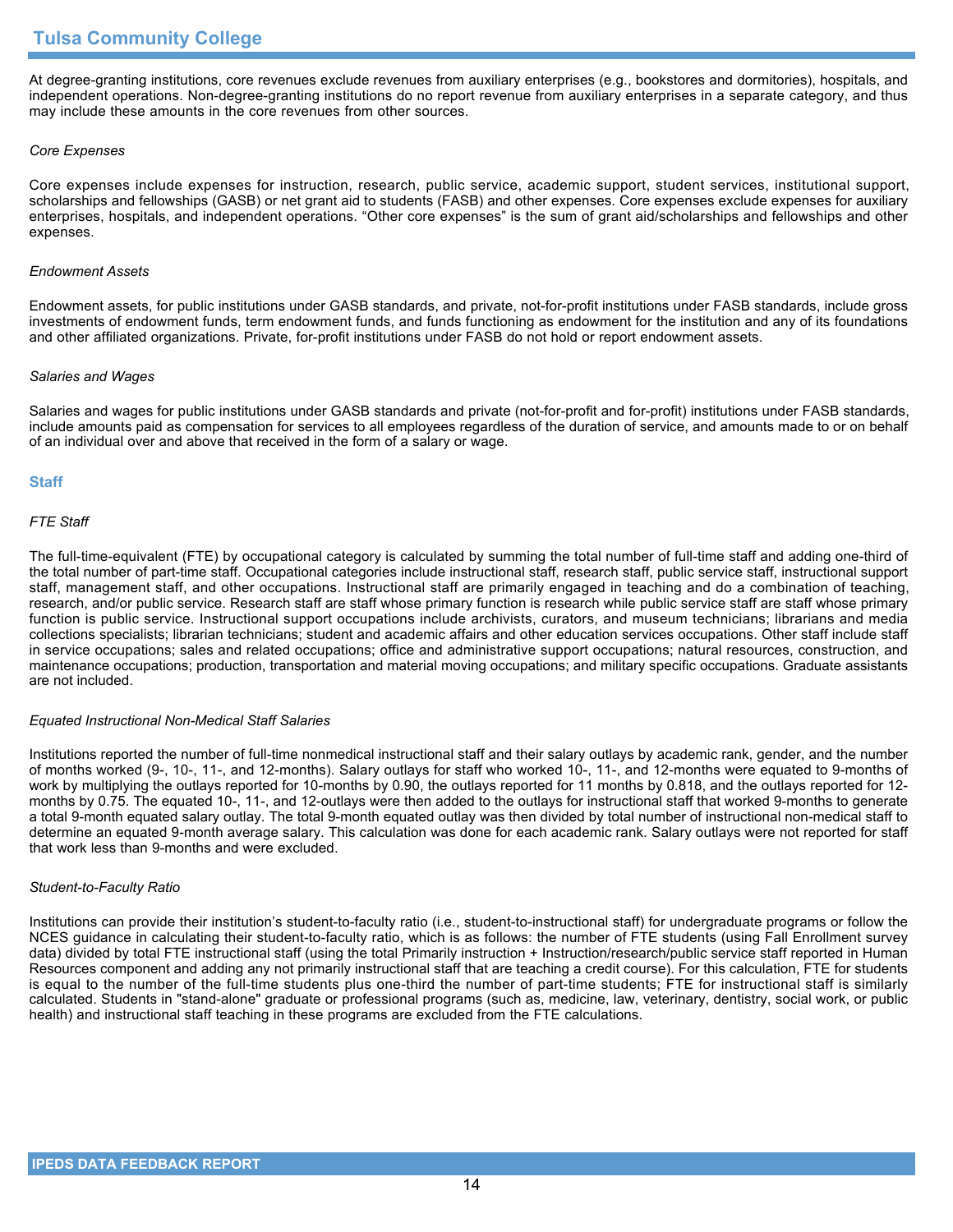At degree-granting institutions, core revenues exclude revenues from auxiliary enterprises (e.g., bookstores and dormitories), hospitals, and independent operations. Non-degree-granting institutions do no report revenue from auxiliary enterprises in a separate category, and thus may include these amounts in the core revenues from other sources.

#### *Core Expenses*

Core expenses include expenses for instruction, research, public service, academic support, student services, institutional support, scholarships and fellowships (GASB) or net grant aid to students (FASB) and other expenses. Core expenses exclude expenses for auxiliary enterprises, hospitals, and independent operations. "Other core expenses" is the sum of grant aid/scholarships and fellowships and other expenses.

#### *Endowment Assets*

Endowment assets, for public institutions under GASB standards, and private, not-for-profit institutions under FASB standards, include gross investments of endowment funds, term endowment funds, and funds functioning as endowment for the institution and any of its foundations and other affiliated organizations. Private, for-profit institutions under FASB do not hold or report endowment assets.

#### *Salaries and Wages*

Salaries and wages for public institutions under GASB standards and private (not-for-profit and for-profit) institutions under FASB standards, include amounts paid as compensation for services to all employees regardless of the duration of service, and amounts made to or on behalf of an individual over and above that received in the form of a salary or wage.

#### **Staff**

#### *FTE Staff*

The full-time-equivalent (FTE) by occupational category is calculated by summing the total number of full-time staff and adding one-third of the total number of part-time staff. Occupational categories include instructional staff, research staff, public service staff, instructional support staff, management staff, and other occupations. Instructional staff are primarily engaged in teaching and do a combination of teaching, research, and/or public service. Research staff are staff whose primary function is research while public service staff are staff whose primary function is public service. Instructional support occupations include archivists, curators, and museum technicians; librarians and media collections specialists; librarian technicians; student and academic affairs and other education services occupations. Other staff include staff in service occupations; sales and related occupations; office and administrative support occupations; natural resources, construction, and maintenance occupations; production, transportation and material moving occupations; and military specific occupations. Graduate assistants are not included.

#### *Equated Instructional Non-Medical Staff Salaries*

Institutions reported the number of full-time nonmedical instructional staff and their salary outlays by academic rank, gender, and the number of months worked (9-, 10-, 11-, and 12-months). Salary outlays for staff who worked 10-, 11-, and 12-months were equated to 9-months of work by multiplying the outlays reported for 10-months by 0.90, the outlays reported for 11 months by 0.818, and the outlays reported for 12 months by 0.75. The equated 10-, 11-, and 12-outlays were then added to the outlays for instructional staff that worked 9-months to generate a total 9-month equated salary outlay. The total 9-month equated outlay was then divided by total number of instructional non-medical staff to determine an equated 9-month average salary. This calculation was done for each academic rank. Salary outlays were not reported for staff that work less than 9-months and were excluded.

#### *Student-to-Faculty Ratio*

Institutions can provide their institution's student-to-faculty ratio (i.e., student-to-instructional staff) for undergraduate programs or follow the NCES guidance in calculating their student-to-faculty ratio, which is as follows: the number of FTE students (using Fall Enrollment survey data) divided by total FTE instructional staff (using the total Primarily instruction + Instruction/research/public service staff reported in Human Resources component and adding any not primarily instructional staff that are teaching a credit course). For this calculation, FTE for students is equal to the number of the full-time students plus one-third the number of part-time students; FTE for instructional staff is similarly calculated. Students in "stand-alone" graduate or professional programs (such as, medicine, law, veterinary, dentistry, social work, or public health) and instructional staff teaching in these programs are excluded from the FTE calculations.